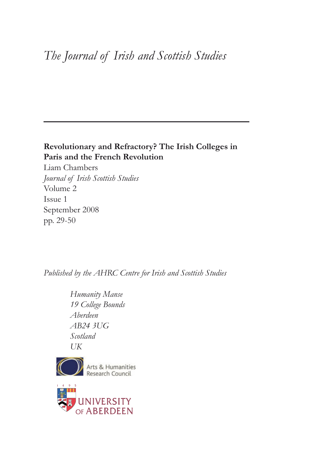# *The Journal of Irish and Scottish Studies*

## **Revolutionary and Refractory? The Irish Colleges in Paris and the French Revolution**

Liam Chambers *Journal of Irish Scottish Studies* Volume 2 Issue 1 September 2008 pp. 29-50

*Published by the AHRC Centre for Irish and Scottish Studies*

*Humanity Manse 19 College Bounds Aberdeen AB24 3UG Scotland UK*



Arts & Humanities

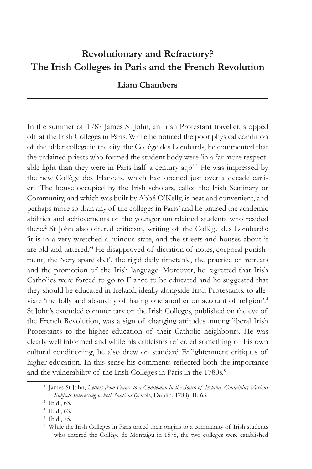## **Revolutionary and Refractory? The Irish Colleges in Paris and the French Revolution**

## **Liam Chambers**

In the summer of 1787 James St John, an Irish Protestant traveller, stopped off at the Irish Colleges in Paris. While he noticed the poor physical condition of the older college in the city, the Collège des Lombards, he commented that the ordained priests who formed the student body were 'in a far more respectable light than they were in Paris half a century ago'.<sup>1</sup> He was impressed by the new Collège des Irlandais, which had opened just over a decade earlier: 'The house occupied by the Irish scholars, called the Irish Seminary or Community, and which was built by Abbé O'Kelly, is neat and convenient, and perhaps more so than any of the colleges in Paris' and he praised the academic abilities and achievements of the younger unordained students who resided there.<sup>2</sup> St John also offered criticism, writing of the Collège des Lombards: 'it is in a very wretched a ruinous state, and the streets and houses about it are old and tattered.<sup>3</sup> He disapproved of dictation of notes, corporal punishment, the 'very spare diet', the rigid daily timetable, the practice of retreats and the promotion of the Irish language. Moreover, he regretted that Irish Catholics were forced to go to France to be educated and he suggested that they should be educated in Ireland, ideally alongside Irish Protestants, to alleviate 'the folly and absurdity of hating one another on account of religion'.4 St John's extended commentary on the Irish Colleges, published on the eve of the French Revolution, was a sign of changing attitudes among liberal Irish Protestants to the higher education of their Catholic neighbours. He was clearly well informed and while his criticisms reflected something of his own cultural conditioning, he also drew on standard Enlightenment critiques of higher education. In this sense his comments reflected both the importance and the vulnerability of the Irish Colleges in Paris in the 1780s.<sup>5</sup>

<sup>1</sup> James St John, *Letters from France to a Gentleman in the South of Ireland: Containing Various Subjects Interesting to both Nations* (2 vols, Dublin, 1788), II, 63.

<sup>2</sup> Ibid., 63.

<sup>3</sup> Ibid., 63.

<sup>4</sup> Ibid., 75.

<sup>&</sup>lt;sup>5</sup> While the Irish Colleges in Paris traced their origins to a community of Irish students who entered the Collège de Montaigu in 1578, the two colleges were established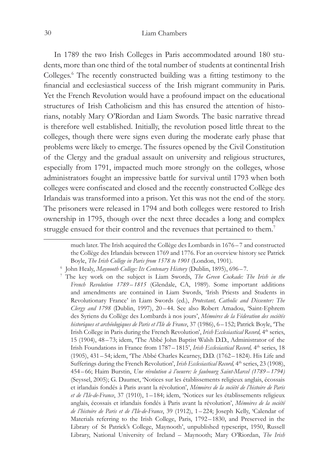#### 30 Liam Chambers

In 1789 the two Irish Colleges in Paris accommodated around 180 students, more than one third of the total number of students at continental Irish Colleges.6 The recently constructed building was a fitting testimony to the financial and ecclesiastical success of the Irish migrant community in Paris. Yet the French Revolution would have a profound impact on the educational structures of Irish Catholicism and this has ensured the attention of historians, notably Mary O'Riordan and Liam Swords. The basic narrative thread is therefore well established. Initially, the revolution posed little threat to the colleges, though there were signs even during the moderate early phase that problems were likely to emerge. The fissures opened by the Civil Constitution of the Clergy and the gradual assault on university and religious structures, especially from 1791, impacted much more strongly on the colleges, whose administrators fought an impressive battle for survival until 1793 when both colleges were confiscated and closed and the recently constructed Collège des Irlandais was transformed into a prison. Yet this was not the end of the story. The prisoners were released in 1794 and both colleges were restored to Irish ownership in 1795, though over the next three decades a long and complex struggle ensued for their control and the revenues that pertained to them.<sup>7</sup>

much later. The Irish acquired the Collège des Lombards in 1676 –7 and constructed the Collège des Irlandais between 1769 and 1776. For an overview history see Patrick Boyle, *The Irish College in Paris from 1578 to 1901* (London, 1901).

<sup>6</sup> John Healy, *Maynooth College: Its Centenary History* (Dublin, 1895), 696–7.

<sup>7</sup> The key work on the subject is Liam Swords, *The Green Cockade: The Irish in the French Revolution 1789–1815* (Glendale, CA, 1989). Some important additions and amendments are contained in Liam Swords, 'Irish Priests and Students in Revolutionary France' in Liam Swords (ed.), *Protestant, Catholic and Dissenter: The Clergy and 1798* (Dublin, 1997), 20–44. See also Robert Amadou, 'Saint-Ephrem des Syriens du Collège des Lombards à nos jours', *Mémoires de la Féderation des sociétés historiques et archéologiques de Paris et l'Ile de France*, 37 (1986), 6–152; Patrick Boyle, 'The Irish College in Paris during the French Revolution', *Irish Ecclesiastical Record,* 4th series, 15 (1904), 48– 73; idem, 'The Abbé John Baptist Walsh D.D., Administrator of the Irish Foundations in France from 1787–1815', *Irish Ecclesiastical Record*, 4<sup>th</sup> series, 18 (1905), 431–54; idem, 'The Abbé Charles Kearney, D.D. (1762– 1824). His Life and Sufferings during the French Revolution', *Irish Ecclesiastical Record*, 4<sup>th</sup> series, 23 (1908), 454–66; Haim Burstin, *Une révolution à l'oeuvre: le faubourg Saint-Marcel (1789–1794)* (Seyssel, 2005); G. Daumet, 'Notices sur les établissements religieux anglais, écossais et irlandais fondés à Paris avant la révolution', *Mémoires de la société de l'histoire de Paris et de l'Ile-de-France*, 37 (1910), 1–184; idem, 'Notices sur les établissements religieux anglais, écossais et irlandais fondés à Paris avant la révolution', *Mémoires de la société de l'histoire de Paris et de l'Ile-de-France*, 39 (1912), 1 –224; Joseph Kelly, 'Calendar of Materials referring to the Irish College, Paris, 1792– 1830, and Preserved in the Library of St Patrick's College, Maynooth', unpublished typescript, 1950, Russell Library, National University of Ireland – Maynooth; Mary O'Riordan, *The Irish*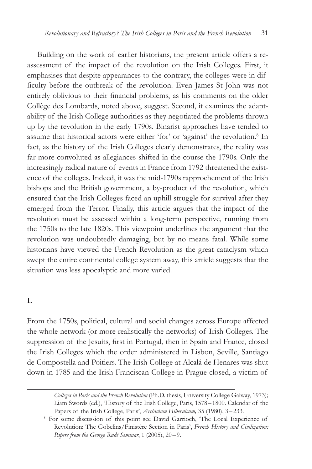Building on the work of earlier historians, the present article offers a reassessment of the impact of the revolution on the Irish Colleges. First, it emphasises that despite appearances to the contrary, the colleges were in difficulty before the outbreak of the revolution. Even James St John was not entirely oblivious to their financial problems, as his comments on the older Collège des Lombards, noted above, suggest. Second, it examines the adaptability of the Irish College authorities as they negotiated the problems thrown up by the revolution in the early 1790s. Binarist approaches have tended to assume that historical actors were either 'for' or 'against' the revolution.<sup>8</sup> In fact, as the history of the Irish Colleges clearly demonstrates, the reality was far more convoluted as allegiances shifted in the course the 1790s. Only the increasingly radical nature of events in France from 1792 threatened the existence of the colleges. Indeed, it was the mid-1790s rapprochement of the Irish bishops and the British government, a by-product of the revolution, which ensured that the Irish Colleges faced an uphill struggle for survival after they emerged from the Terror. Finally, this article argues that the impact of the revolution must be assessed within a long-term perspective, running from the 1750s to the late 1820s. This viewpoint underlines the argument that the revolution was undoubtedly damaging, but by no means fatal. While some historians have viewed the French Revolution as the great cataclysm which swept the entire continental college system away, this article suggests that the situation was less apocalyptic and more varied.

### **I.**

From the 1750s, political, cultural and social changes across Europe affected the whole network (or more realistically the networks) of Irish Colleges. The suppression of the Jesuits, first in Portugal, then in Spain and France, closed the Irish Colleges which the order administered in Lisbon, Seville, Santiago de Compostella and Poitiers. The Irish College at Alcalá de Henares was shut down in 1785 and the Irish Franciscan College in Prague closed, a victim of

*Colleges in Paris and the French Revolution* (Ph.D. thesis, University College Galway, 1973); Liam Swords (ed.), 'History of the Irish College, Paris, 1578–1800. Calendar of the Papers of the Irish College, Paris', *Archivium Hibernicum*, 35 (1980), 3–233. 8 For some discussion of this point see David Garrioch, 'The Local Experience of

Revolution: The Gobelins/Finistère Section in Paris', *French History and Civilization: Papers from the George Rudé Seminar*, 1 (2005), 20–9.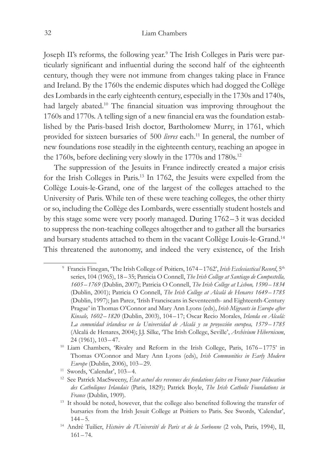Joseph II's reforms, the following year.<sup>9</sup> The Irish Colleges in Paris were particularly significant and influential during the second half of the eighteenth century, though they were not immune from changes taking place in France and Ireland. By the 1760s the endemic disputes which had dogged the Collège des Lombards in the early eighteenth century, especially in the 1730s and 1740s, had largely abated.10 The financial situation was improving throughout the 1760s and 1770s. A telling sign of a new financial era was the foundation established by the Paris-based Irish doctor, Bartholomew Murry, in 1761, which provided for sixteen bursaries of 500 *livres* each.<sup>11</sup> In general, the number of new foundations rose steadily in the eighteenth century, reaching an apogee in the 1760s, before declining very slowly in the 1770s and 1780s.<sup>12</sup>

The suppression of the Jesuits in France indirectly created a major crisis for the Irish Colleges in Paris.13 In 1762, the Jesuits were expelled from the Collège Louis-le-Grand, one of the largest of the colleges attached to the University of Paris. While ten of these were teaching colleges, the other thirty or so, including the Collège des Lombards, were essentially student hostels and by this stage some were very poorly managed. During 1762–3 it was decided to suppress the non-teaching colleges altogether and to gather all the bursaries and bursary students attached to them in the vacant Collège Louis-le-Grand.14 This threatened the autonomy, and indeed the very existence, of the Irish

<sup>&</sup>lt;sup>9</sup> Francis Finegan, 'The Irish College of Poitiers, 1674–1762', *Irish Ecclesiastical Record*, 5<sup>th</sup> series, 104 (1965), 18-35; Patricia O Connell, *The Irish College at Santiago de Compostella*, *1605–1769* (Dublin, 2007); Patricia O Connell, *The Irish College at Lisbon, 1590–1834* (Dublin, 2001); Patricia O Connell, *The Irish College at Alcalá de Henares 1649 –1785* (Dublin, 1997); Jan Parez, 'Irish Franciscans in Seventeenth- and Eighteenth-Century Prague' in Thomas O'Connor and Mary Ann Lyons (eds), *Irish Migrants in Europe after Kinsale, 1602–1820* (Dublin, 2003), 104 –17; Oscar Recio Morales, *Irlanda en Alcalá: La comunidad irlandesa en la Universidad de Alcalá y su proyección europea, 1579 –1785*  (Alcalá de Henares, 2004); J.J. Silke, 'The Irish College, Seville', *Archivium Hibernicum*, 24 (1961), 103–47. 10 Liam Chambers, 'Rivalry and Reform in the Irish College, Paris, 1676–1775' in

Thomas O'Connor and Mary Ann Lyons (eds), *Irish Communities in Early Modern Europe* (Dublin, 2006), 103–29.

<sup>11</sup> Swords, 'Calendar', 103–4.

<sup>12</sup> See Patrick MacSweeny, *État actuel des revenues des fondations faites en France pour l'éducation des Catholiques Irlandais* (Paris, 1829); Patrick Boyle, *The Irish Catholic Foundations in France* (Dublin, 1909).

<sup>&</sup>lt;sup>13</sup> It should be noted, however, that the college also benefited following the transfer of bursaries from the Irish Jesuit College at Poitiers to Paris. See Swords, 'Calendar',  $144 - 5$ .

<sup>&</sup>lt;sup>14</sup> André Tuilier, *Histoire de l'Université de Paris et de la Sorbonne* (2 vols, Paris, 1994), II, 161–74.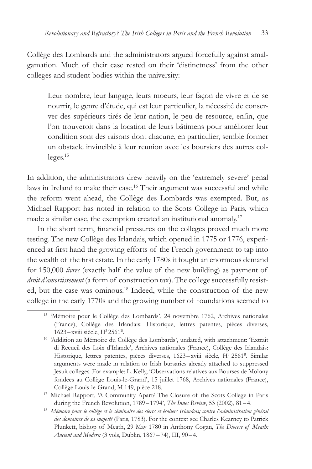Collège des Lombards and the administrators argued forcefully against amalgamation. Much of their case rested on their 'distinctness' from the other colleges and student bodies within the university:

Leur nombre, leur langage, leurs moeurs, leur façon de vivre et de se nourrir, le genre d'étude, qui est leur particulier, la nécessité de conserver des supérieurs tirés de leur nation, le peu de resource, enfin, que l'on trouveroit dans la location de leurs bâtimens pour améliorer leur condition sont des raisons dont chacune, en particulier, semble former un obstacle invincible à leur reunion avec les boursiers des autres colleges.15

In addition, the administrators drew heavily on the 'extremely severe' penal laws in Ireland to make their case.<sup>16</sup> Their argument was successful and while the reform went ahead, the Collège des Lombards was exempted. But, as Michael Rapport has noted in relation to the Scots College in Paris, which made a similar case, the exemption created an institutional anomaly.<sup>17</sup>

In the short term, financial pressures on the colleges proved much more testing. The new Collège des Irlandais, which opened in 1775 or 1776, experienced at first hand the growing efforts of the French government to tap into the wealth of the first estate. In the early 1780s it fought an enormous demand for 150,000 *livres* (exactly half the value of the new building) as payment of *droit d'amortissement* (a form of construction tax). The college successfully resisted, but the case was ominous.<sup>18</sup> Indeed, while the construction of the new college in the early 1770s and the growing number of foundations seemed to

<sup>15</sup> 'Mémoire pour le Collège des Lombards', 24 novembre 1762, Archives nationales (France), Collège des Irlandais: Historique, lettres patentes, pièces diverses,  $1623 - x$ viii siècle,  $H^3 2561^B$ .

<sup>16</sup> 'Addition au Mémoire du Collège des Lombards', undated, with attachment: 'Extrait di Recueil des Loix d'Irlande', Archives nationales (France), Collège des Irlandais: Historique, lettres patentes, pièces diverses, 1623-xviii siècle, H<sup>3</sup> 2561<sup>B</sup>. Similar arguments were made in relation to Irish bursaries already attached to suppressed Jesuit colleges. For example: L. Kelly, 'Observations relatives aux Bourses de Molony fondées au Collège Louis-le-Grand', 15 juillet 1768, Archives nationales (France), Collège Louis-le-Grand, M 149, pièce 218.

<sup>17</sup> Michael Rapport, 'A Community Apart? The Closure of the Scots College in Paris during the French Revolution, 1789–1794', *The Innes Review*, 53 (2002), 81-4.

<sup>18</sup> *Mémoire pour le collège et le séminaire des clercs et écoliers Irlandois; contre l'administration général des domaines de sa majesté* (Paris, 1783). For the context see Charles Kearney to Patrick Plunkett, bishop of Meath, 29 May 1780 in Anthony Cogan, *The Diocese of Meath: Ancient and Modern* (3 vols, Dublin, 1867–74), III, 90–4.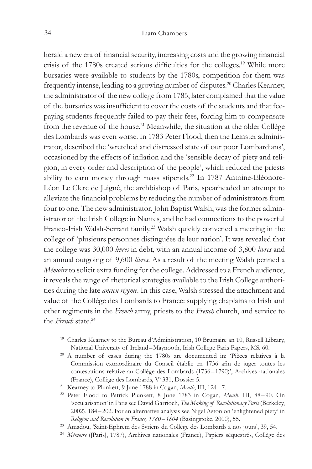herald a new era of financial security, increasing costs and the growing financial crisis of the 1780s created serious difficulties for the colleges.19 While more bursaries were available to students by the 1780s, competition for them was frequently intense, leading to a growing number of disputes.20 Charles Kearney, the administrator of the new college from 1785, later complained that the value of the bursaries was insufficient to cover the costs of the students and that feepaying students frequently failed to pay their fees, forcing him to compensate from the revenue of the house.<sup>21</sup> Meanwhile, the situation at the older Collège des Lombards was even worse. In 1783 Peter Flood, then the Leinster administrator, described the 'wretched and distressed state of our poor Lombardians', occasioned by the effects of inflation and the 'sensible decay of piety and religion, in every order and description of the people', which reduced the priests ability to earn money through mass stipends.<sup>22</sup> In 1787 Antoine-Eléonore-Léon Le Clerc de Juigné, the archbishop of Paris, spearheaded an attempt to alleviate the financial problems by reducing the number of administrators from four to one. The new administrator, John Baptist Walsh, was the former administrator of the Irish College in Nantes, and he had connections to the powerful Franco-Irish Walsh-Serrant family.<sup>23</sup> Walsh quickly convened a meeting in the college of 'plusieurs personnes distinguées de leur nation'. It was revealed that the college was 30,000 *livres* in debt, with an annual income of 3,800 *livres* and an annual outgoing of 9,600 *livres*. As a result of the meeting Walsh penned a *Mémoire* to solicit extra funding for the college. Addressed to a French audience, it reveals the range of rhetorical strategies available to the Irish College authorities during the late *ancien régime*. In this case, Walsh stressed the attachment and value of the Collège des Lombards to France: supplying chaplains to Irish and other regiments in the *French* army, priests to the *French* church, and service to the *French* state.24

<sup>&</sup>lt;sup>19</sup> Charles Kearney to the Bureau d'Administration, 10 Brumaire an 10, Russell Library, National University of Ireland–Maynooth, Irish College Paris Papers, MS. 60.

<sup>20</sup> A number of cases during the 1780s are documented in: 'Pièces relatives à la Commission extraordinaire du Conseil établie en 1736 afin de juger toutes les contestations relative au Collège des Lombards (1736–1790)', Archives nationales (France), Collège des Lombards, V7 331, Dossier 5.

<sup>21</sup> Kearney to Plunkett, 9 June 1788 in Cogan, *Meath*, III, 124–7.

<sup>22</sup> Peter Flood to Patrick Plunkett, 8 June 1783 in Cogan, *Meath*, III, 88– 90. On 'secularisation' in Paris see David Garrioch, *The Making of Revolutionary Paris* (Berkeley, 2002), 184– 202. For an alternative analysis see Nigel Aston on 'enlightened piety' in *Religion and Revolution in France, 1780–1804* (Basingstoke, 2000), 55.

<sup>23</sup> Amadou, 'Saint-Ephrem des Syriens du Collège des Lombards à nos jours', 39, 54.

<sup>24</sup> *Mémoire* ([Paris], 1787), Archives nationales (France), Papiers séquestrés, Collège des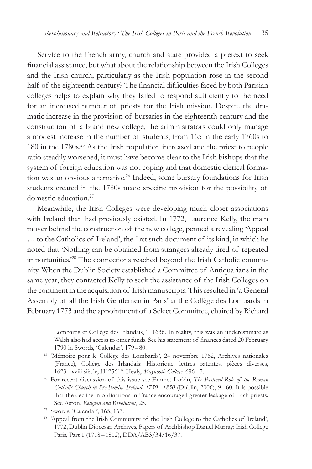Service to the French army, church and state provided a pretext to seek financial assistance, but what about the relationship between the Irish Colleges and the Irish church, particularly as the Irish population rose in the second half of the eighteenth century? The financial difficulties faced by both Parisian colleges helps to explain why they failed to respond sufficiently to the need for an increased number of priests for the Irish mission. Despite the dramatic increase in the provision of bursaries in the eighteenth century and the construction of a brand new college, the administrators could only manage a modest increase in the number of students, from 165 in the early 1760s to 180 in the 1780s.25 As the Irish population increased and the priest to people ratio steadily worsened, it must have become clear to the Irish bishops that the system of foreign education was not coping and that domestic clerical formation was an obvious alternative.<sup>26</sup> Indeed, some bursary foundations for Irish students created in the 1780s made specific provision for the possibility of domestic education.27

Meanwhile, the Irish Colleges were developing much closer associations with Ireland than had previously existed. In 1772, Laurence Kelly, the main mover behind the construction of the new college, penned a revealing 'Appeal … to the Catholics of Ireland', the first such document of its kind, in which he noted that 'Nothing can be obtained from strangers already tired of repeated importunities.'28 The connections reached beyond the Irish Catholic community. When the Dublin Society established a Committee of Antiquarians in the same year, they contacted Kelly to seek the assistance of the Irish Colleges on the continent in the acquisition of Irish manuscripts. This resulted in 'a General Assembly of all the Irish Gentlemen in Paris' at the Collège des Lombards in February 1773 and the appointment of a Select Committee, chaired by Richard

Lombards et Collège des Irlandais, T 1636. In reality, this was an underestimate as Walsh also had access to other funds. See his statement of finances dated 20 February 1790 in Swords, 'Calendar', 179–80.

<sup>&</sup>lt;sup>25</sup> 'Mémoire pour le Collège des Lombards', 24 novembre 1762, Archives nationales (France), Collège des Irlandais: Historique, lettres patentes, pièces diverses, 1623–xviii siècle, H3 2561B; Healy, *Maynooth College,* 696–7.

<sup>26</sup> For recent discussion of this issue see Emmet Larkin, *The Pastoral Role of the Roman Catholic Church in Pre-Famine Ireland, 1750 –1850* (Dublin, 2006), 9 –60. It is possible that the decline in ordinations in France encouraged greater leakage of Irish priests. See Aston, *Religion and Revolution*, 25.

<sup>27</sup> Swords, 'Calendar', 165, 167.

<sup>&</sup>lt;sup>28</sup> 'Appeal from the Irish Community of the Irish College to the Catholics of Ireland', 1772, Dublin Diocesan Archives, Papers of Archbishop Daniel Murray: Irish College Paris, Part 1 (1718– 1812), DDA/AB3/34/16/37.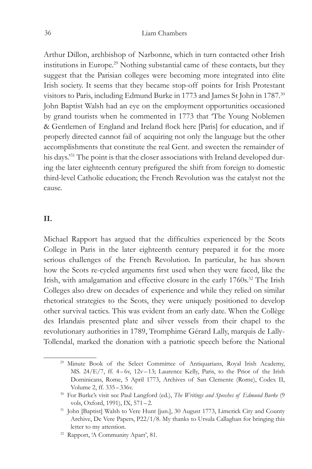Arthur Dillon, archbishop of Narbonne, which in turn contacted other Irish institutions in Europe.29 Nothing substantial came of these contacts, but they suggest that the Parisian colleges were becoming more integrated into élite Irish society. It seems that they became stop-off points for Irish Protestant visitors to Paris, including Edmund Burke in 1773 and James St John in 1787.30 John Baptist Walsh had an eye on the employment opportunities occasioned by grand tourists when he commented in 1773 that 'The Young Noblemen & Gentlemen of England and Ireland flock here [Paris] for education, and if properly directed cannot fail of acquiring not only the language but the other accomplishments that constitute the real Gent. and sweeten the remainder of his days.'31 The point is that the closer associations with Ireland developed during the later eighteenth century prefigured the shift from foreign to domestic third-level Catholic education; the French Revolution was the catalyst not the cause.

## **II.**

Michael Rapport has argued that the difficulties experienced by the Scots College in Paris in the later eighteenth century prepared it for the more serious challenges of the French Revolution. In particular, he has shown how the Scots re-cycled arguments first used when they were faced, like the Irish, with amalgamation and effective closure in the early 1760s.<sup>32</sup> The Irish Colleges also drew on decades of experience and while they relied on similar rhetorical strategies to the Scots, they were uniquely positioned to develop other survival tactics. This was evident from an early date. When the Collège des Irlandais presented plate and silver vessels from their chapel to the revolutionary authorities in 1789, Tromphime Gérard Lally, marquis de Lally-Tollendal, marked the donation with a patriotic speech before the National

<sup>&</sup>lt;sup>29</sup> Minute Book of the Select Committee of Antiquarians, Royal Irish Academy, MS. 24/E/7, ff. 4-6v, 12v-13; Laurence Kelly, Paris, to the Prior of the Irish Dominicans, Rome, 5 April 1773, Archives of San Clemente (Rome), Codex II, Volume 2, ff. 335–336v.

<sup>30</sup> For Burke's visit see Paul Langford (ed.), *The Writings and Speeches of Edmund Burke* (9 vols, Oxford, 1991), IX, 571–2.

<sup>&</sup>lt;sup>31</sup> John [Baptist] Walsh to Vere Hunt [jun.], 30 August 1773, Limerick City and County Archive, De Vere Papers, P22/1/8. My thanks to Ursula Callaghan for bringing this letter to my attention.

<sup>32</sup> Rapport, 'A Community Apart', 81.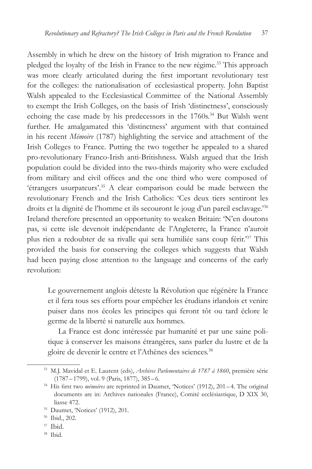Assembly in which he drew on the history of Irish migration to France and pledged the loyalty of the Irish in France to the new régime.<sup>33</sup> This approach was more clearly articulated during the first important revolutionary test for the colleges: the nationalisation of ecclesiastical property. John Baptist Walsh appealed to the Ecclesiastical Committee of the National Assembly to exempt the Irish Colleges, on the basis of Irish 'distinctness', consciously echoing the case made by his predecessors in the 1760s.<sup>34</sup> But Walsh went further. He amalgamated this 'distinctness' argument with that contained in his recent *Mémoire* (1787) highlighting the service and attachment of the Irish Colleges to France. Putting the two together he appealed to a shared pro-revolutionary Franco-Irish anti-Britishness. Walsh argued that the Irish population could be divided into the two-thirds majority who were excluded from military and civil offices and the one third who were composed of 'étrangers usurpateurs'.35 A clear comparison could be made between the revolutionary French and the Irish Catholics: 'Ces deux tiers sentiront les droits et la dignité de l'homme et ils secouront le joug d'un pareil esclavage.'36 Ireland therefore presented an opportunity to weaken Britain: 'N'en doutons pas, si cette isle devenoit indépendante de l'Angleterre, la France n'auroit plus rien a redoubter de sa rivalle qui sera humiliée sans coup férir.'37 This provided the basis for conserving the colleges which suggests that Walsh had been paying close attention to the language and concerns of the early revolution:

Le gouvernement anglois déteste la Révolution que régénère la France et il fera tous ses efforts pour empêcher les étudians irlandois et venire puiser dans nos écoles les principes qui feront tôt ou tard éclore le germe de la liberté si naturelle aux hommes.

La France est donc intéressée par humanité et par une saine politique à conserver les maisons étrangères, sans parler du lustre et de la gloire de devenir le centre et l'Athènes des sciences.<sup>38</sup>

<sup>33</sup> M.J. Mavidal et E. Laurent (eds), *Archives Parlementaires de 1787 à 1860*, première série (1787–1799), vol. 9 (Paris, 1877), 385– 6. 34 His first two *mémoires* are reprinted in Daumet, 'Notices' (1912), 201 – 4. The original

documents are in: Archives nationales (France), Comité ecclésiastique, D XIX 30, liasse 472.

<sup>35</sup> Daumet, 'Notices' (1912), 201.

<sup>36</sup> Ibid., 202.

<sup>37</sup> Ibid.

<sup>38</sup> Ibid.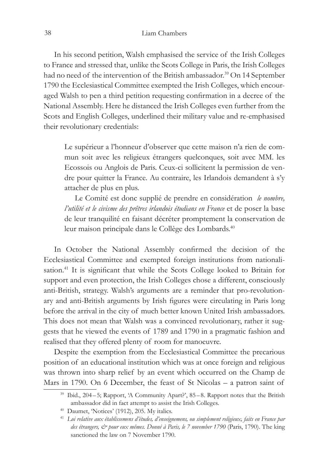In his second petition, Walsh emphasised the service of the Irish Colleges to France and stressed that, unlike the Scots College in Paris, the Irish Colleges had no need of the intervention of the British ambassador.<sup>39</sup> On 14 September 1790 the Ecclesiastical Committee exempted the Irish Colleges, which encouraged Walsh to pen a third petition requesting confirmation in a decree of the National Assembly. Here he distanced the Irish Colleges even further from the Scots and English Colleges, underlined their military value and re-emphasised their revolutionary credentials:

Le supérieur a l'honneur d'observer que cette maison n'a rien de commun soit avec les religieux étrangers quelconques, soit avec MM. les Ecossois ou Anglois de Paris. Ceux-ci sollicitent la permission de vendre pour quitter la France. Au contraire, les Irlandois demandent à s'y attacher de plus en plus.

Le Comité est donc supplié de prendre en considération *le nombre, l'utilité et le civisme des prêtres irlandois étudians en France* et de poser la base de leur tranquilité en faisant décréter promptement la conservation de leur maison principale dans le Collège des Lombards.<sup>40</sup>

In October the National Assembly confirmed the decision of the Ecclesiastical Committee and exempted foreign institutions from nationalisation.<sup>41</sup> It is significant that while the Scots College looked to Britain for support and even protection, the Irish Colleges chose a different, consciously anti-British, strategy. Walsh's arguments are a reminder that pro-revolutionary and anti-British arguments by Irish figures were circulating in Paris long before the arrival in the city of much better known United Irish ambassadors. This does not mean that Walsh was a convinced revolutionary, rather it suggests that he viewed the events of 1789 and 1790 in a pragmatic fashion and realised that they offered plenty of room for manoeuvre.

Despite the exemption from the Ecclesiastical Committee the precarious position of an educational institution which was at once foreign and religious was thrown into sharp relief by an event which occurred on the Champ de Mars in 1790. On 6 December, the feast of St Nicolas – a patron saint of

<sup>&</sup>lt;sup>39</sup> Ibid., 204–5; Rapport, 'A Community Apart?', 85–8. Rapport notes that the British ambassador did in fact attempt to assist the Irish Colleges.

<sup>40</sup> Daumet, 'Notices' (1912), 205. My italics.

<sup>41</sup> *Loi relative aux établissemens d'études, d'enseignemens, ou simplement religieux, faits en France par des étrangers, & pour eux mêmes. Donné à Paris, le 7 november 1790* (Paris, 1790). The king sanctioned the law on 7 November 1790.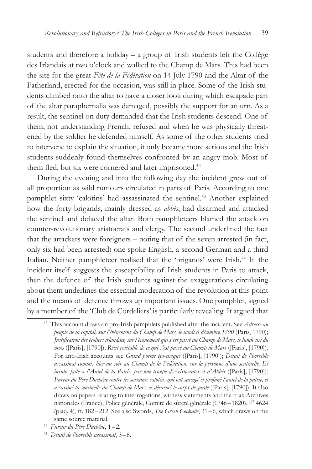students and therefore a holiday – a group of Irish students left the Collège des Irlandais at two o'clock and walked to the Champ de Mars. This had been the site for the great *Fête de la Fédération* on 14 July 1790 and the Altar of the Fatherland, erected for the occasion, was still in place. Some of the Irish students climbed onto the altar to have a closer look during which escapade part of the altar paraphernalia was damaged, possibly the support for an urn. As a result, the sentinel on duty demanded that the Irish students descend. One of them, not understanding French, refused and when he was physically threatened by the soldier he defended himself. As some of the other students tried to intervene to explain the situation, it only became more serious and the Irish students suddenly found themselves confronted by an angry mob. Most of them fled, but six were cornered and later imprisoned.<sup>42</sup>

During the evening and into the following day the incident grew out of all proportion as wild rumours circulated in parts of Paris. According to one pamphlet sixty 'calotins' had assassinated the sentinel.<sup>43</sup> Another explained how the forty brigands, mainly dressed as *abbés*, had disarmed and attacked the sentinel and defaced the altar. Both pamphleteers blamed the attack on counter-revolutionary aristocrats and clergy. The second underlined the fact that the attackers were foreigners – noting that of the seven arrested (in fact, only six had been arrested) one spoke English, a second German and a third Italian. Neither pamphleteer realised that the 'brigands' were Irish.<sup>44</sup> If the incident itself suggests the susceptibility of Irish students in Paris to attack, then the defence of the Irish students against the exaggerations circulating about them underlines the essential moderation of the revolution at this point and the means of defence throws up important issues. One pamphlet, signed by a member of the 'Club de Cordeliers' is particularly revealing. It argued that

<sup>42</sup> This account draws on pro-Irish pamphlets published after the incident. See *Adresse au peuple de la capital, sur l'événement du Champ de Mars, le lundi 6 décembre 1790* (Paris, 1790); *Justification des écoliers irlandais, sur l'événement qui s'est passé au Champ de Mars, le lundi six du mois* ([Paris], [1790]); *Récit veritable de ce qui s'est passé au Champ de Mars* ([Paris], [1790]). For anti-Irish accounts see *Grand poeme épi-civique* ([Paris], [1790]); *Détail de l'horrible assassinat commis hier au soir au Champ de la Fédération, sur la personne d'une sentinelle, Et insulte faite a l'Autel de la Patrie, par une troupe d'Aristocrates et d'Abbés* ([Paris], [1790]); *Fureur du Père Duchêne contre les soixante calotins qui ont saccagé et profané l'autel de la patrie, et assassiné la sentinelle du Champ-de-Mars, et désarmé le corps de garde* ([Paris], [1790]). It also draws on papers relating to interrogations, witness statements and the trial: Archives nationales (France), Police générale, Comité de sûreté générale (1746–1820), F7 4624 (plaq. 4), ff. 182 –212. See also Swords, *The Green Cockade*, 31–6, which draws on the same source material.

<sup>43</sup> *Fureur du Père Duchêne*, 1–2.

<sup>44</sup> *Détail de l'horrible assassinat*, 3–8.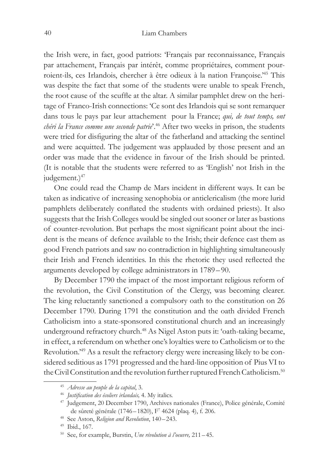the Irish were, in fact, good patriots: 'Français par reconnaissance, Français par attachement, Français par intérêt, comme propriétaires, comment pourroient-ils, ces Irlandois, chercher à être odieux à la nation Françoise.'45 This was despite the fact that some of the students were unable to speak French, the root cause of the scuffle at the altar. A similar pamphlet drew on the heritage of Franco-Irish connections: 'Ce sont des Irlandois qui se sont remarquer dans tous le pays par leur attachement pour la France; *qui, de tout temps, ont chéri la France comme une seconde patrie*'.46 After two weeks in prison, the students were tried for disfiguring the altar of the fatherland and attacking the sentinel and were acquitted. The judgement was applauded by those present and an order was made that the evidence in favour of the Irish should be printed. (It is notable that the students were referred to as 'English' not Irish in the judgement.)<sup>47</sup>

One could read the Champ de Mars incident in different ways. It can be taken as indicative of increasing xenophobia or anticlericalism (the more lurid pamphlets deliberately conflated the students with ordained priests). It also suggests that the Irish Colleges would be singled out sooner or later as bastions of counter-revolution. But perhaps the most significant point about the incident is the means of defence available to the Irish; their defence cast them as good French patriots and saw no contradiction in highlighting simultaneously their Irish and French identities. In this the rhetoric they used reflected the arguments developed by college administrators in 1789–90.

By December 1790 the impact of the most important religious reform of the revolution, the Civil Constitution of the Clergy, was becoming clearer. The king reluctantly sanctioned a compulsory oath to the constitution on 26 December 1790. During 1791 the constitution and the oath divided French Catholicism into a state-sponsored constitutional church and an increasingly underground refractory church.<sup>48</sup> As Nigel Aston puts it: 'oath-taking became, in effect, a referendum on whether one's loyalties were to Catholicism or to the Revolution.'49 As a result the refractory clergy were increasing likely to be considered seditious as 1791 progressed and the hard-line opposition of Pius VI to the Civil Constitution and the revolution further ruptured French Catholicism.<sup>50</sup>

<sup>45</sup> *Adresse au peuple de la capital*, 3.

<sup>46</sup> *Justification des écoliers irlandais,* 4. My italics.

<sup>47</sup> Judgement, 20 December 1790, Archives nationales (France), Police générale, Comité de sûreté générale (1746–1820), F7 4624 (plaq. 4), f. 206.

<sup>48</sup> See Aston, *Religion and Revolution*, 140–243.

<sup>49</sup> Ibid., 167.

<sup>50</sup> See, for example, Burstin, *Une révolution à l'oeuvre,* 211– 45.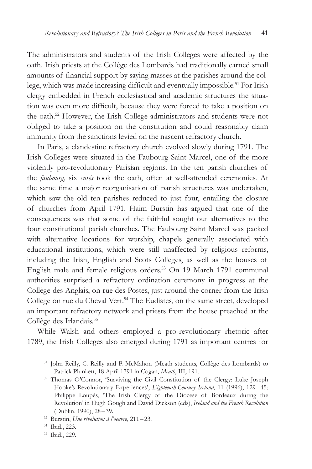The administrators and students of the Irish Colleges were affected by the oath. Irish priests at the Collège des Lombards had traditionally earned small amounts of financial support by saying masses at the parishes around the college, which was made increasing difficult and eventually impossible.<sup>51</sup> For Irish clergy embedded in French ecclesiastical and academic structures the situation was even more difficult, because they were forced to take a position on the oath.52 However, the Irish College administrators and students were not obliged to take a position on the constitution and could reasonably claim immunity from the sanctions levied on the nascent refractory church.

In Paris, a clandestine refractory church evolved slowly during 1791. The Irish Colleges were situated in the Faubourg Saint Marcel, one of the more violently pro-revolutionary Parisian regions. In the ten parish churches of the *faubourg*, six *curés* took the oath, often at well-attended ceremonies. At the same time a major reorganisation of parish structures was undertaken, which saw the old ten parishes reduced to just four, entailing the closure of churches from April 1791. Haim Burstin has argued that one of the consequences was that some of the faithful sought out alternatives to the four constitutional parish churches. The Faubourg Saint Marcel was packed with alternative locations for worship, chapels generally associated with educational institutions, which were still unaffected by religious reforms, including the Irish, English and Scots Colleges, as well as the houses of English male and female religious orders.<sup>53</sup> On 19 March 1791 communal authorities surprised a refractory ordination ceremony in progress at the Collège des Anglais, on rue des Postes, just around the corner from the Irish College on rue du Cheval Vert.<sup>54</sup> The Eudistes, on the same street, developed an important refractory network and priests from the house preached at the Collège des Irlandais.<sup>55</sup>

While Walsh and others employed a pro-revolutionary rhetoric after 1789, the Irish Colleges also emerged during 1791 as important centres for

<sup>51</sup> John Reilly, C. Reilly and P. McMahon (Meath students, Collège des Lombards) to Patrick Plunkett, 18 April 1791 in Cogan, *Meath*, III, 191.

<sup>52</sup> Thomas O'Connor, 'Surviving the Civil Constitution of the Clergy: Luke Joseph Hooke's Revolutionary Experiences', *Eighteenth-Century Ireland*, 11 (1996), 129–45; Philippe Loupès, 'The Irish Clergy of the Diocese of Bordeaux during the Revolution' in Hugh Gough and David Dickson (eds), *Ireland and the French Revolution* (Dublin, 1990), 28–39.

<sup>53</sup> Burstin, *Une révolution à l'oeuvre*, 211–23.

<sup>54</sup> Ibid., 223.

<sup>55</sup> Ibid., 229.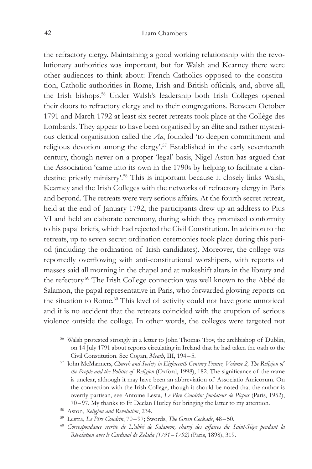the refractory clergy. Maintaining a good working relationship with the revolutionary authorities was important, but for Walsh and Kearney there were other audiences to think about: French Catholics opposed to the constitution, Catholic authorities in Rome, Irish and British officials, and, above all, the Irish bishops.56 Under Walsh's leadership both Irish Colleges opened their doors to refractory clergy and to their congregations. Between October 1791 and March 1792 at least six secret retreats took place at the Collège des Lombards. They appear to have been organised by an élite and rather mysterious clerical organisation called the *Aa*, founded 'to deepen commitment and religious devotion among the clergy'.<sup>57</sup> Established in the early seventeenth century, though never on a proper 'legal' basis, Nigel Aston has argued that the Association 'came into its own in the 1790s by helping to facilitate a clandestine priestly ministry'.58 This is important because it closely links Walsh, Kearney and the Irish Colleges with the networks of refractory clergy in Paris and beyond. The retreats were very serious affairs. At the fourth secret retreat, held at the end of January 1792, the participants drew up an address to Pius VI and held an elaborate ceremony, during which they promised conformity to his papal briefs, which had rejected the Civil Constitution. In addition to the retreats, up to seven secret ordination ceremonies took place during this period (including the ordination of Irish candidates). Moreover, the college was reportedly overflowing with anti-constitutional worshipers, with reports of masses said all morning in the chapel and at makeshift altars in the library and the refectory.59 The Irish College connection was well known to the Abbé de Salamon, the papal representative in Paris, who forwarded glowing reports on the situation to Rome.<sup>60</sup> This level of activity could not have gone unnoticed and it is no accident that the retreats coincided with the eruption of serious violence outside the college. In other words, the colleges were targeted not

<sup>&</sup>lt;sup>56</sup> Walsh protested strongly in a letter to John Thomas Troy, the archbishop of Dublin, on 14 July 1791 about reports circulating in Ireland that he had taken the oath to the Civil Constitution. See Cogan, *Meath*, III, 194– 5. 57 John McManners, *Church and Society in Eighteenth Century France, Volume 2, The Religion of* 

*the People and the Politics of Religion* (Oxford, 1998), 182. The significance of the name is unclear, although it may have been an abbreviation of Associatio Amicorum. On the connection with the Irish College, though it should be noted that the author is overtly partisan, see Antoine Lesta, *Le Père Coudrin: fondateur de Picpus* (Paris, 1952), 70–97. My thanks to Fr Declan Hurley for bringing the latter to my attention.

<sup>58</sup> Aston, *Religion and Revolution*, 234.

<sup>59</sup> Lestra, *Le Père Coudrin*, 70–97; Swords, *The Green Cockade*, 48–50.

<sup>60</sup> *Correspondance secrète de L'abbé de Salamon, chargi des affaires du Saint-Siège pendant la Révolution avec le Cardinal de Zelada (1791–1792)* (Paris, 1898), 319.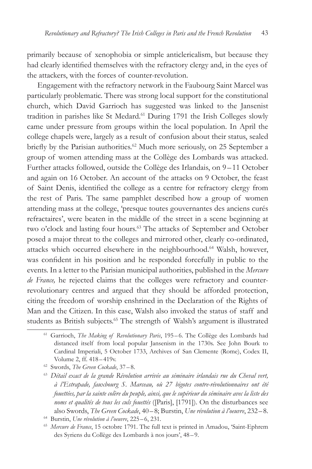primarily because of xenophobia or simple anticlericalism, but because they had clearly identified themselves with the refractory clergy and, in the eyes of the attackers, with the forces of counter-revolution.

Engagement with the refractory network in the Faubourg Saint Marcel was particularly problematic. There was strong local support for the constitutional church, which David Garrioch has suggested was linked to the Jansenist tradition in parishes like St Medard.61 During 1791 the Irish Colleges slowly came under pressure from groups within the local population. In April the college chapels were, largely as a result of confusion about their status, sealed briefly by the Parisian authorities.<sup>62</sup> Much more seriously, on 25 September a group of women attending mass at the Collège des Lombards was attacked. Further attacks followed, outside the Collège des Irlandais, on 9-11 October and again on 16 October. An account of the attacks on 9 October, the feast of Saint Denis, identified the college as a centre for refractory clergy from the rest of Paris. The same pamphlet described how a group of women attending mass at the college, 'presque toutes gouvernantes des anciens curés refractaires', were beaten in the middle of the street in a scene beginning at two o'clock and lasting four hours.<sup>63</sup> The attacks of September and October posed a major threat to the colleges and mirrored other, clearly co-ordinated, attacks which occurred elsewhere in the neighbourhood.<sup>64</sup> Walsh, however, was confident in his position and he responded forcefully in public to the events. In a letter to the Parisian municipal authorities, published in the *Mercure de France,* he rejected claims that the colleges were refractory and counterrevolutionary centres and argued that they should be afforded protection, citing the freedom of worship enshrined in the Declaration of the Rights of Man and the Citizen. In this case, Walsh also invoked the status of staff and students as British subjects.<sup>65</sup> The strength of Walsh's argument is illustrated

<sup>62</sup> Swords, *The Green Cockade*, 37–8.

<sup>61</sup> Garrioch, *The Making of Revolutionary Paris*, 195–6. The Collège des Lombards had distanced itself from local popular Jansenism in the 1730s. See John Bourk to Cardinal Imperiali, 5 October 1733, Archives of San Clemente (Rome), Codex II, Volume 2, ff. 418 – 419v.

<sup>63</sup> *Détail exact de la grande Révolution arrivée au séminaire irlandais rue du Cheval vert, à l'Estrapade, fauxbourg S. Marceau, où 27 bigotes contre-révolutionnaires ont été fouettées, par la sainte colère du peuple, ainsi, que le supérieur du séminaire avec la liste des noms et qualités de tous les culs fouettés* ([Paris], [1791]). On the disturbances see also Swords, *The Green Cockade*, 40– 8; Burstin, *Une révolution à l'oeuvre*, 232–8.

<sup>64</sup> Burstin, *Une révolution à l'oeuvre*, 225–6, 231.

<sup>65</sup> *Mercure de France*, 15 octobre 1791. The full text is printed in Amadou, 'Saint-Ephrem des Syriens du Collège des Lombards à nos jours', 48 –9.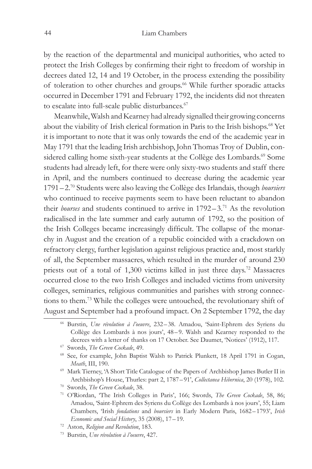by the reaction of the departmental and municipal authorities, who acted to protect the Irish Colleges by confirming their right to freedom of worship in decrees dated 12, 14 and 19 October, in the process extending the possibility of toleration to other churches and groups.<sup>66</sup> While further sporadic attacks occurred in December 1791 and February 1792, the incidents did not threaten to escalate into full-scale public disturbances.<sup>67</sup>

Meanwhile, Walsh and Kearney had already signalled their growing concerns about the viability of Irish clerical formation in Paris to the Irish bishops.<sup>68</sup> Yet it is important to note that it was only towards the end of the academic year in May 1791 that the leading Irish archbishop, John Thomas Troy of Dublin, considered calling home sixth-year students at the Collège des Lombards.<sup>69</sup> Some students had already left, for there were only sixty-two students and staff there in April, and the numbers continued to decrease during the academic year 1791– 2.70 Students were also leaving the Collège des Irlandais, though *boursiers* who continued to receive payments seem to have been reluctant to abandon their *bourses* and students continued to arrive in 1792–3.<sup>71</sup> As the revolution radicalised in the late summer and early autumn of 1792, so the position of the Irish Colleges became increasingly difficult. The collapse of the monarchy in August and the creation of a republic coincided with a crackdown on refractory clergy, further legislation against religious practice and, most starkly of all, the September massacres, which resulted in the murder of around 230 priests out of a total of 1,300 victims killed in just three days.72 Massacres occurred close to the two Irish Colleges and included victims from university colleges, seminaries, religious communities and parishes with strong connections to them.73 While the colleges were untouched, the revolutionary shift of August and September had a profound impact. On 2 September 1792, the day

<sup>66</sup> Burstin, *Une révolution à l'oeuvre*, 232–38. Amadou, 'Saint-Ephrem des Syriens du Collège des Lombards à nos jours', 48 –9. Walsh and Kearney responded to the decrees with a letter of thanks on 17 October. See Daumet, 'Notices' (1912), 117.

<sup>67</sup> Swords, *The Green Cockade*, 49.

<sup>68</sup> See, for example, John Baptist Walsh to Patrick Plunkett, 18 April 1791 in Cogan, *Meath*, III, 190.

<sup>69</sup> Mark Tierney, 'A Short Title Catalogue of the Papers of Archbishop James Butler II in Archbishop's House, Thurles: part 2, 1787–91', *Collectanea Hibernica*, 20 (1978), 102.

<sup>70</sup> Swords, *The Green Cockade*, 38.

<sup>71</sup> O'Riordan, 'The Irish Colleges in Paris', 166; Swords, *The Green Cockade*, 58, 86; Amadou, 'Saint-Ephrem des Syriens du Collège des Lombards à nos jours', 55; Liam Chambers, 'Irish *fondations* and *boursiers* in Early Modern Paris, 1682–1793', *Irish Economic and Social History*, 35 (2008), 17–19. 72 Aston, *Religion and Revolution*, 183.

<sup>73</sup> Burstin, *Une révolution à l'oeuvre*, 427.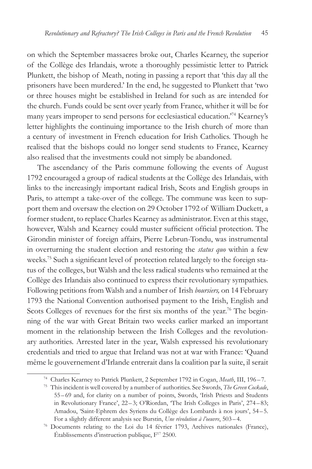on which the September massacres broke out, Charles Kearney, the superior of the Collège des Irlandais, wrote a thoroughly pessimistic letter to Patrick Plunkett, the bishop of Meath, noting in passing a report that 'this day all the prisoners have been murdered.' In the end, he suggested to Plunkett that 'two or three houses might be established in Ireland for such as are intended for the church. Funds could be sent over yearly from France, whither it will be for many years improper to send persons for ecclesiastical education.'74 Kearney's letter highlights the continuing importance to the Irish church of more than a century of investment in French education for Irish Catholics. Though he realised that the bishops could no longer send students to France, Kearney also realised that the investments could not simply be abandoned.

The ascendancy of the Paris commune following the events of August 1792 encouraged a group of radical students at the Collège des Irlandais, with links to the increasingly important radical Irish, Scots and English groups in Paris, to attempt a take-over of the college. The commune was keen to support them and oversaw the election on 29 October 1792 of William Duckett, a former student, to replace Charles Kearney as administrator. Even at this stage, however, Walsh and Kearney could muster sufficient official protection. The Girondin minister of foreign affairs, Pierre Lebrun-Tondu, was instrumental in overturning the student election and restoring the *status quo* within a few weeks.75 Such a significant level of protection related largely to the foreign status of the colleges, but Walsh and the less radical students who remained at the Collège des Irlandais also continued to express their revolutionary sympathies. Following petitions from Walsh and a number of Irish *boursiers,* on 14 February 1793 the National Convention authorised payment to the Irish, English and Scots Colleges of revenues for the first six months of the year.<sup>76</sup> The beginning of the war with Great Britain two weeks earlier marked an important moment in the relationship between the Irish Colleges and the revolutionary authorities. Arrested later in the year, Walsh expressed his revolutionary credentials and tried to argue that Ireland was not at war with France: 'Quand même le gouvernement d'Irlande entrerait dans la coalition par la suite, il serait

<sup>74</sup> Charles Kearney to Patrick Plunkett, 2 September 1792 in Cogan, *Meath*, III, 196–7.

<sup>75</sup> This incident is well covered by a number of authorities. See Swords, *The Green Cockade*, 55–69 and, for clarity on a number of points, Swords, 'Irish Priests and Students in Revolutionary France', 22 – 3; O'Riordan, 'The Irish Colleges in Paris', 274–83; Amadou, 'Saint-Ephrem des Syriens du Collège des Lombards à nos jours', 54 –5. For a slightly different analysis see Burstin, *Une révolution à l'oeuvre*, 503–4.

<sup>76</sup> Documents relating to the Loi du 14 février 1793, Archives nationales (France), Établissements d'instruction publique, F17 2500.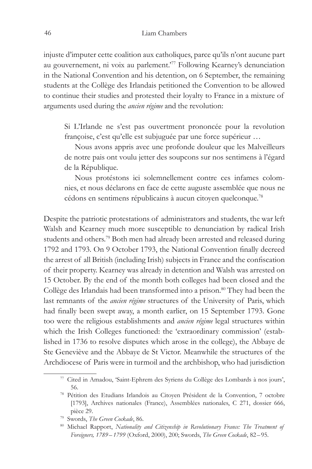injuste d'imputer cette coalition aux catholiques, parce qu'ils n'ont aucune part au gouvernement, ni voix au parlement.'77 Following Kearney's denunciation in the National Convention and his detention, on 6 September, the remaining students at the Collège des Irlandais petitioned the Convention to be allowed to continue their studies and protested their loyalty to France in a mixture of arguments used during the *ancien régime* and the revolution:

Si L'Irlande ne s'est pas ouvertment prononcée pour la revolution françoise, c'est qu'elle est subjuguée par une force supérieur …

Nous avons appris avec une profonde douleur que les Malveilleurs de notre pais ont voulu jetter des soupcons sur nos sentimens à l'égard de la République.

Nous protéstons ici solemnellement contre ces infames colomnies, et nous déclarons en face de cette auguste assemblée que nous ne cédons en sentimens républicains à aucun citoyen quelconque.78

Despite the patriotic protestations of administrators and students, the war left Walsh and Kearney much more susceptible to denunciation by radical Irish students and others.79 Both men had already been arrested and released during 1792 and 1793. On 9 October 1793, the National Convention finally decreed the arrest of all British (including Irish) subjects in France and the confiscation of their property. Kearney was already in detention and Walsh was arrested on 15 October. By the end of the month both colleges had been closed and the Collège des Irlandais had been transformed into a prison.<sup>80</sup> They had been the last remnants of the *ancien régime* structures of the University of Paris, which had finally been swept away, a month earlier, on 15 September 1793. Gone too were the religious establishments and *ancien régime* legal structures within which the Irish Colleges functioned: the 'extraordinary commission' (established in 1736 to resolve disputes which arose in the college), the Abbaye de Ste Geneviève and the Abbaye de St Victor. Meanwhile the structures of the Archdiocese of Paris were in turmoil and the archbishop, who had jurisdiction

<sup>77</sup> Cited in Amadou, 'Saint-Ephrem des Syriens du Collège des Lombards à nos jours', 56.

<sup>78</sup> Pétition des Etudians Irlandois au Citoyen Président de la Convention, 7 octobre [1793], Archives nationales (France), Assemblées nationales, C 271, dossier 666, pièce 29.

<sup>79</sup> Swords, *The Green Cockade*, 86.

<sup>80</sup> Michael Rapport, *Nationality and Citizenship in Revolutionary France: The Treatment of Foreigners, 1789– 1799* (Oxford, 2000), 200; Swords, *The Green Cockade*, 82–95.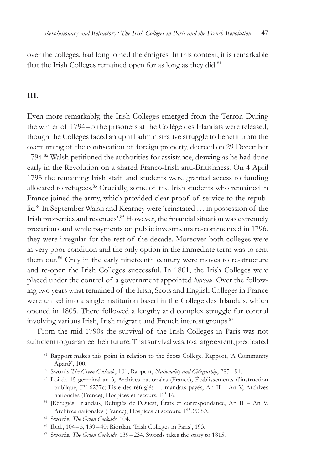over the colleges, had long joined the émigrés. In this context, it is remarkable that the Irish Colleges remained open for as long as they did.<sup>81</sup>

## **III.**

Even more remarkably, the Irish Colleges emerged from the Terror. During the winter of 1794 – 5 the prisoners at the Collège des Irlandais were released, though the Colleges faced an uphill administrative struggle to benefit from the overturning of the confiscation of foreign property, decreed on 29 December 1794.82 Walsh petitioned the authorities for assistance, drawing as he had done early in the Revolution on a shared Franco-Irish anti-Britishness. On 4 April 1795 the remaining Irish staff and students were granted access to funding allocated to refugees.<sup>83</sup> Crucially, some of the Irish students who remained in France joined the army, which provided clear proof of service to the republic.84 In September Walsh and Kearney were 'reinstated … in possession of the Irish properties and revenues'.85 However, the financial situation was extremely precarious and while payments on public investments re-commenced in 1796, they were irregular for the rest of the decade. Moreover both colleges were in very poor condition and the only option in the immediate term was to rent them out.<sup>86</sup> Only in the early nineteenth century were moves to re-structure and re-open the Irish Colleges successful. In 1801, the Irish Colleges were placed under the control of a government appointed *bureau*. Over the following two years what remained of the Irish, Scots and English Colleges in France were united into a single institution based in the Collège des Irlandais, which opened in 1805. There followed a lengthy and complex struggle for control involving various Irish, Irish migrant and French interest groups.<sup>87</sup>

From the mid-1790s the survival of the Irish Colleges in Paris was not sufficient to guarantee their future. That survival was, to a large extent, predicated

<sup>&</sup>lt;sup>81</sup> Rapport makes this point in relation to the Scots College. Rapport, 'A Community Apart?', 100.<br><sup>82</sup> Swords *The Green Cockade*, 101; Rapport, *Nationality and Citizenship*, 285–91.<br><sup>83</sup> Loi de 15 germinal an 3, Archives nationales (France), Établissements d'instruction

publique, F17 6237c; Liste des réfugiés … mandats payés, An II – An V, Archives nationales (France), Hospices et secours, F<sup>15</sup> 16.

<sup>84</sup> [Réfugiés] Irlandais, Réfugiés de l'Ouest, États et correspondance, An II – An V, Archives nationales (France), Hospices et secours, F<sup>15</sup> 3508A.

<sup>85</sup> Swords, *The Green Cockade*, 104.

<sup>86</sup> Ibid., 104–5, 139–40; Riordan, 'Irish Colleges in Paris', 193.

<sup>87</sup> Swords, *The Green Cockade*, 139–234. Swords takes the story to 1815.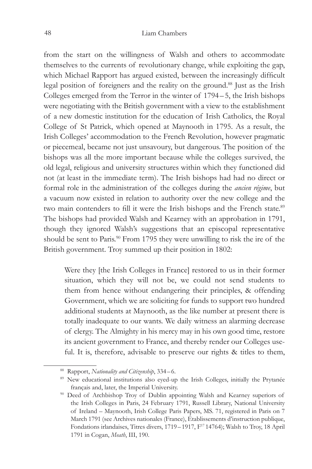#### 48 Liam Chambers

from the start on the willingness of Walsh and others to accommodate themselves to the currents of revolutionary change, while exploiting the gap, which Michael Rapport has argued existed, between the increasingly difficult legal position of foreigners and the reality on the ground.<sup>88</sup> Just as the Irish Colleges emerged from the Terror in the winter of 1794 –5, the Irish bishops were negotiating with the British government with a view to the establishment of a new domestic institution for the education of Irish Catholics, the Royal College of St Patrick, which opened at Maynooth in 1795. As a result, the Irish Colleges' accommodation to the French Revolution, however pragmatic or piecemeal, became not just unsavoury, but dangerous. The position of the bishops was all the more important because while the colleges survived, the old legal, religious and university structures within which they functioned did not (at least in the immediate term). The Irish bishops had had no direct or formal role in the administration of the colleges during the *ancien régime*, but a vacuum now existed in relation to authority over the new college and the two main contenders to fill it were the Irish bishops and the French state.<sup>89</sup> The bishops had provided Walsh and Kearney with an approbation in 1791, though they ignored Walsh's suggestions that an episcopal representative should be sent to Paris.<sup>90</sup> From 1795 they were unwilling to risk the ire of the British government. Troy summed up their position in 1802:

Were they [the Irish Colleges in France] restored to us in their former situation, which they will not be, we could not send students to them from hence without endangering their principles, & offending Government, which we are soliciting for funds to support two hundred additional students at Maynooth, as the like number at present there is totally inadequate to our wants. We daily witness an alarming decrease of clergy. The Almighty in his mercy may in his own good time, restore its ancient government to France, and thereby render our Colleges useful. It is, therefore, advisable to preserve our rights & titles to them,

<sup>88</sup> Rapport, *Nationality and Citizenship*, 334–6.

<sup>&</sup>lt;sup>89</sup> New educational institutions also eyed-up the Irish Colleges, initially the Prytanée français and, later, the Imperial University.

<sup>&</sup>lt;sup>90</sup> Deed of Archbishop Troy of Dublin appointing Walsh and Kearney superiors of the Irish Colleges in Paris, 24 February 1791, Russell Library, National University of Ireland – Maynooth, Irish College Paris Papers, MS. 71, registered in Paris on 7 March 1791 (see Archives nationales (France), Établissements d'instruction publique, Fondations irlandaises, Titres divers, 1719-1917, F<sup>17</sup> 14764); Walsh to Troy, 18 April 1791 in Cogan, *Meath*, III, 190.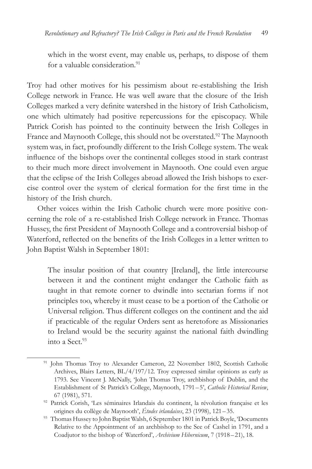which in the worst event, may enable us, perhaps, to dispose of them for a valuable consideration.<sup>91</sup>

Troy had other motives for his pessimism about re-establishing the Irish College network in France. He was well aware that the closure of the Irish Colleges marked a very definite watershed in the history of Irish Catholicism, one which ultimately had positive repercussions for the episcopacy. While Patrick Corish has pointed to the continuity between the Irish Colleges in France and Maynooth College, this should not be overstated.<sup>92</sup> The Maynooth system was, in fact, profoundly different to the Irish College system. The weak influence of the bishops over the continental colleges stood in stark contrast to their much more direct involvement in Maynooth. One could even argue that the eclipse of the Irish Colleges abroad allowed the Irish bishops to exercise control over the system of clerical formation for the first time in the history of the Irish church.

Other voices within the Irish Catholic church were more positive concerning the role of a re-established Irish College network in France. Thomas Hussey, the first President of Maynooth College and a controversial bishop of Waterford, reflected on the benefits of the Irish Colleges in a letter written to John Baptist Walsh in September 1801:

The insular position of that country [Ireland], the little intercourse between it and the continent might endanger the Catholic faith as taught in that remote corner to dwindle into sectarian forms if not principles too, whereby it must cease to be a portion of the Catholic or Universal religion. Thus different colleges on the continent and the aid if practicable of the regular Orders sent as heretofore as Missionaries to Ireland would be the security against the national faith dwindling into a Sect.93

<sup>&</sup>lt;sup>91</sup> John Thomas Troy to Alexander Cameron, 22 November 1802, Scottish Catholic Archives, Blairs Letters, BL/4/197/12. Troy expressed similar opinions as early as 1793. See Vincent J. McNally, 'John Thomas Troy, archbishop of Dublin, and the Establishment of St Patrick's College, Maynooth, 1791–5', *Catholic Historical Review*, 67 (1981), 571.

<sup>92</sup> Patrick Corish, 'Les séminaires Irlandais du continent, la révolution française et les origines du collège de Maynooth', *Études irlandaises*, 23 (1998), 121– 35.

<sup>&</sup>lt;sup>93</sup> Thomas Hussey to John Baptist Walsh, 6 September 1801 in Patrick Boyle, 'Documents Relative to the Appointment of an archbishop to the See of Cashel in 1791, and a Coadjutor to the bishop of Waterford', *Archivium Hibernicum*, 7 (1918–21), 18.